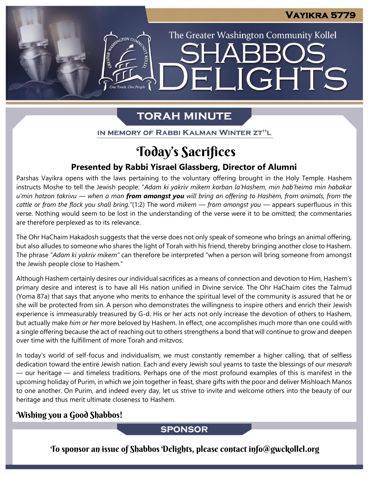The Greater Washington Community Kollel

ELIGHTS

# **TORAH MINUTE**

IN MEMORY OF RABBI KALMAN WINTER ZT"L

# Today's Sacrifices

### **Presented by Rabbi Yisrael Glassberg, Director of Alumni**

Parshas Vayikra opens with the laws pertaining to the voluntary offering brought in the Holy Temple. Hashem instructs Moshe to tell the Jewish people: "*Adam ki yakriv mikem korban la'Hashem, min hab'heima min habakar* u'min hatzon takrivu — when a man from amongst you will bring an offering to Hashem, from animals, from the *cattle or from the flock you shall bring."*(1:2) The word *mikem* — *from amongst you* — appears superfluous in this verse. Nothing would seem to be lost in the understanding of the verse were it to be omitted; the commentaries are therefore perplexed as to its relevance.

The Ohr HaChaim Hakadosh suggests that the verse does not only speak of someone who brings an animal offering, but also alludes to someone who shares the light of Torah with his friend, thereby bringing another close to Hashem. The phrase "*Adam ki yakriv mikem"* can therefore be interpreted "when a person will bring someone from amongst the Jewish people close to Hashem."

Although Hashem certainly desires our individual sacrifices as a means of connection and devotion to Him, Hashem's primary desire and interest is to have all His nation unified in Divine service. The Ohr HaChaim cites the Talmud (Yoma 87a) that says that anyone who merits to enhance the spiritual level of the community is assured that he or she will be protected from sin. A person who demonstrates the willingness to inspire others and enrich their Jewish experience is immeasurably treasured by G-d. His or her acts not only increase the devotion of others to Hashem, but actually make *him or her* more beloved by Hashem. In effect, one accomplishes much more than one could with a single offering because the act of reaching out to others strengthens a bond that will continue to grow and deepen over time with the fulfillment of more Torah and mitzvos.

In today's world of self-focus and individualism, we must constantly remember a higher calling, that of selfless dedication toward the entire Jewish nation. Each and every Jewish soul yearns to taste the blessings of our *mesorah* — our heritage — and timeless traditions. Perhaps one of the most profound examples of this is manifest in the upcoming holiday of Purim, in which we join together in feast, share gifts with the poor and deliver Mishloach Manos to one another. On Purim, and indeed every day, let us strive to invite and welcome others into the beauty of our heritage and thus merit ultimate closeness to Hashem.

### Wishing you a Good Shabbos!

**SPONSOR** 

To sponsor an issue of Shabbos Delights, please contact info@gwckollel.org